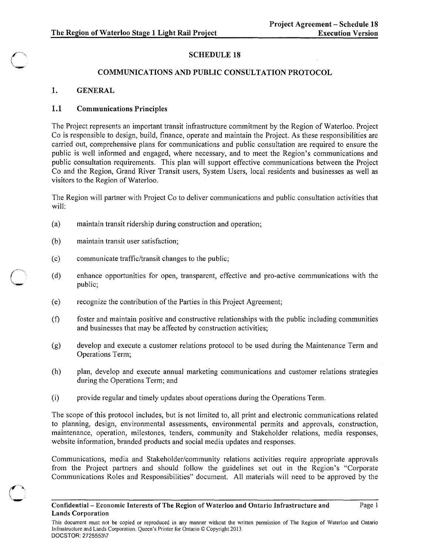## SCHEDULE 18

#### COMMUNICATIONS AND PUBLIC CONSULTATION PROTOCOL

## 1. GENERAL

 $\swarrow$   $\searrow$ **√.**<br>~~~

## 1.1 Communications Principles

The Project represents an important transit infrastructure commitment by the Region of Waterloo. Project Co is responsible to design, build, finance, operate and maintain the Project. As these responsibilities are carried out, comprehensive plans for communications and public consultation are required to ensure the public is well informed and engaged, where necessary, and to meet the Region's communications and public consultation requirements. This plan will support effective communications between the Project Co and the Region, Grand River Transit users, System Users, local residents and businesses as well as visitors to the Region of Waterloo.

The Region will partner with Project Co to deliver communications and public consultation activities that will:

- (a) maintain transit ridership during construction and operation;
- (b) maintain transit user satisfaction;
- (c) communicate traffic/transit changes to the public;
- (d) enhance opportunities for open, transparent, effective and pro-active communications with the public;
- (e) recognize the contribution of the Parties in this Project Agreement;
- (f) foster and maintain positive and constructive relationships with the public including communities and businesses that may be affected by construction activities;
- (g) develop and execute a customer relations protocol to be used during the Maintenance Term and Operations Term;
- (h) plan, develop and execute annual marketing communications and customer relations strategies during the Operations Term; and
- (i) provide regular and timely updates about operations during the Operations Term.

The scope of this protocol includes, but is not limited to, all print and electronic communications related to planning, design, environmental assessments, environmental permits and approvals, construction, maintenance, operation, milestones, tenders, community and Stakeholder relations, media responses, website information, branded products and social media updates and responses.

Communications, media and Stakeholder/community relations activities require appropriate approvals from the Project partners and should follow the guidelines set out in the Region's "Corporate Communications Roles and Responsibilities" document. All materials will need to be approved by the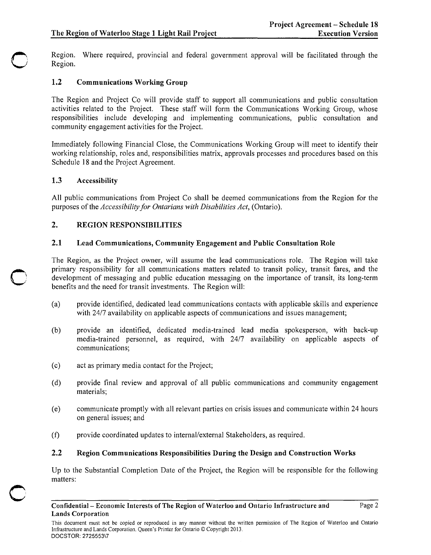Region. Where required, provincial and federal government approval will be facilitated through the Region.

# 1.2 Communications Working Group

The Region and Project Co will provide staff to support all communications and public consultation activities related to the Project. These staff will form the Communications Working Group, whose responsibilities include developing and implementing communications, public consultation and community engagement activities for the Project.

Immediately following Financial Close, the Communications Working Group will meet to identify their working relationship, roles and, responsibilities matrix, approvals processes and procedures based on this Schedule 18 and the Project Agreement.

## 1.3 Accessibility

o

 $\cup$ 

c

All public communications from Project Co shall be deemed communications from the Region for the purposes of the *Accessibility for Ontarians with Disabilities Act,* (Ontario).

## 2. REGION RESPONSIBILITIES

## 2.1 Lead Communications, Community Engagement and Public Consultation Role

The Region, as the Project owner, will assume the lead communications role. The Region will take primary responsibility for all communications matters related to transit policy, transit fares, and the development of messaging and public education messaging on the importance of transit, its long-term benefits and the need for transit investments. The Region will:

- (a) provide identified, dedicated lead communications contacts with applicable skills and experience with 24/7 availability on applicable aspects of communications and issues management;
- (b) provide an identified, dedicated media-trained lead media spokesperson, with back-up media-trained personnel, as required, with 2417 availability on applicable aspects of communications;
- (c) act as primary media contact for the Project;
- (d) provide final review and approval of all public communications and community engagement materials;
- (e) communicate promptly with all relevant parties on crisis issues and communicate within 24 hours on general issues; and
- (1) provide coordinated updates to internal/external Stakeholders, as required.

## 2.2 Region Communications Responsibilities During the Design and Construction Works

Up to the Substantial Completion Date of the Project, the Region will be responsible for the following matters: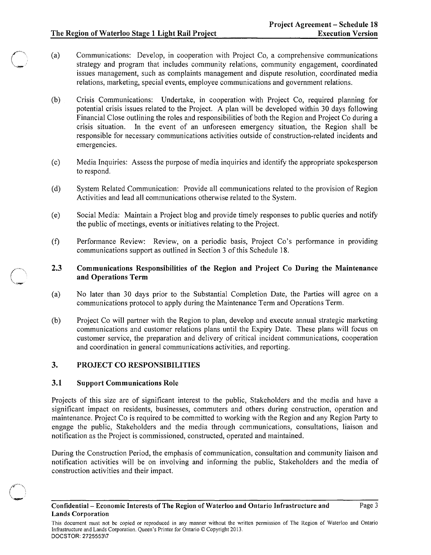- (a) Communications: Develop, in cooperation with Project Co, a comprehensive communications strategy and program that includes community relations, community engagement, coordinated issues management, such as complaints management and dispute resolution, coordinated media relations, marketing, special events, employee communications and government relations.
- (b) Crisis Communications: Undertake, in cooperation with Project Co, required planning for potential crisis issues related to the Project. A plan will be developed within 30 days following Financial Close outlining the roles and responsibilities of both the Region and Project Co during a crisis situation. In the event of an unforeseen emergency situation, the Region shall be responsible for necessary communications activities outside of construction-related incidents and emergencies.
- (c) Media Inquiries: Assess the purpose of media inquiries and identify the appropriate spokesperson to respond.
- (d) System Related Communication: Provide all communications related to the provision of Region Activities and lead all communications otherwise related to the System.
- (e) Social Media: Maintain a Project blog and provide timely responses to public queries and notify the public of meetings, events or initiatives relating to the Project.
- (f) Performance Review: Review, on a periodic basis, Project Co's performance in providing communications support as outlined in Section 3 of this Schedule 18.

## 2.3 Communications Responsibilities of the Region and Project Co During the Maintenance and Operations Term

- (a) No later than 30 days prior to the Substantial Completion Date, the Parties will agree on a communications protocol to apply during the Maintenance Term and Operations Term.
- (b) Project Co will partner with the Region to plan, develop and execute annual strategic marketing communications and customer relations plans until the Expiry Date. These plans will focus on customer service, the preparation and delivery of critical incident communications, cooperation and coordination in general communications activities, and reporting.

#### 3. PROJECT CO RESPONSIBILITIES

#### 3.1 Support Communications Role

Projects of this size are of significant interest to the public, Stakeholders and the media and have a significant impact on residents, businesses, commuters and others during construction, operation and maintenance. Project Co is required to be committed to working with the Region and any Region Party to engage the public, Stakeholders and the media through communications, consultations, liaison and notification as the Project is commissioned, constructed, operated and maintained.

During the Construction Period, the emphasis of communication, consultation and community liaison and notification activities will be on involving and informing the public, Stakeholders and the media of construction activities and their impact.

This document must not be copied or reproduced in any manner without the written permission of The Region of Waterloo and Ontario Infrastructure and Lands Corporation. Queen's Printer for Ontario © Copyright 2013. DOCSTOR: 2725553\7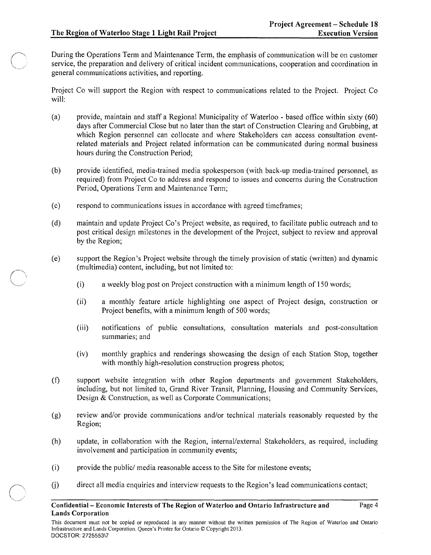Page 4

During the Operations Term and Maintenance Term, the emphasis of communication will be on customer service, the preparation and delivery of critical incident communications, cooperation and coordination in general communications activities, and reporting.

Project Co will support the Region with respect to communications related to the Project. Project Co will:

- (a) provide, maintain and staff a Regional Municipality of Waterloo based office within sixty (60) days after Commercial Close but no later than the start of Construction Clearing and Grubbing, at which Region personnel can collocate and where Stakeholders can access consultation eventrelated materials and Project related information can be communicated during normal business hours during the Construction Period;
- (b) provide identified, media-trained media spokesperson (with back-up media-trained personnel, as required) from Project Co to address and respond to issues and concerns during the Construction Period, Operations Term and Maintenance Term;
- (c) respond to communications issues in accordance with agreed timeframes;
- (d) maintain and update Project Co's Project website, as required, to facilitate public outreach and to post critical design milestones in the development of the Project, subject to review and approval by the Region;
- (e) support the Region's Project website through the timely provision of static (written) and dynamic (multimedia) content, including, but not limited to:
	- (i) a weekly blog post on Project construction with a minimum length of 150 words;
	- (ii) a monthly feature article highlighting one aspect of Project design, construction or Project benefits, with a minimum length of 500 words;
	- (iii) notifications of public consultations, consultation materials and post-consultation summaries; and
	- (iv) monthly graphics and renderings showcasing the design of each Station Stop, together with monthly high-resolution construction progress photos;
- (f) support website integration with other Region departments and government Stakeholders, including, but not limited to, Grand River Transit, Planning, Housing and Community Services, Design & Construction, as well as Corporate Communications;
- (g) review and/or provide communications and/or technical materials reasonably requested by the Region;
- (h) update, in collaboration with the Region, internal/external Stakeholders, as required, including involvement and participation in community events;
- (i) provide the public/ media reasonable access to the Site for milestone events;
- $(i)$ direct all media enquiries and interview requests to the Region's lead communications contact;

Confidential- Economic Interests of The Region of Waterloo and Ontario Infrastructure and Lands Corporation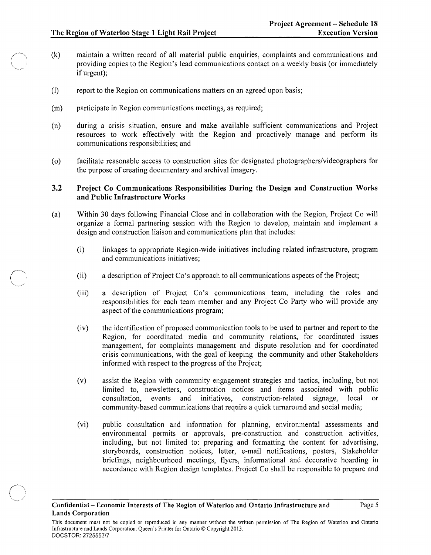$\diagup$  $\bigg\backslash$ ''-v..~"'-

- (k) maintain a written record of all material public enquiries, complaints and communications and providing copies to the Region's lead communications contact on a weekly basis (or immediately if urgent);
- (I) report to the Region on communications matters on an agreed upon basis;
- (m) participate in Region communications meetings, as required;
- (n) during a crisis situation, ensure and make available sufficient communications and Project resources to work effectively with the Region and proactively manage and perform its communications responsibilities; and
- (0) facilitate reasonable access to construction sites for designated photographers/videographers for the purpose of creating documentary and archival imagery.

## 3.2 Project Co Communications Responsibilities During the Design and Construction Works and Public Infrastructure Works

- (a) Within 30 days following Financial Close and in collaboration with the Region, Project Co will organize a formal partnering session with the Region to develop, maintain and implement a design and construction liaison and communications plan that includes:
	- (i) linkages to appropriate Region-wide initiatives including related infrastructure, program and communications initiatives;
	- (ii) a description of Project Co's approach to all communications aspects of the Project;
	- (iii) a description of Project Co's communications team, including the roles and responsibilities for each team member and any Project Co Party who will provide any aspect of the communications program;
	- (iv) the identification of proposed communication tools to be used to partner and report to the Region, for coordinated media and community relations, for coordinated issues management, for complaints management and dispute resolution and for coordinated crisis communications, with the goal of keeping the community and other Stakeholders informed with respect to the progress of the Project;
	- (v) assist the Region with community engagement strategies and tactics, including, but not limited to, newsletters, construction notices and items associated with public consultation, events and initiatives, construction-related signage, local or community-based communications that require a quick turnaround and social media;
	- (vi) public consultation and information for planning, environmental assessments and environmental permits or approvals, pre-construction and construction activities, including, but not limited to: preparing and formatting the content for advertising, storyboards, construction notices, letter, e-mail notifications, posters, Stakeholder briefings, neighbourhood meetings, flyers, informational and decorative hoarding in accordance with Region design templates. Project Co shall be responsible to prepare and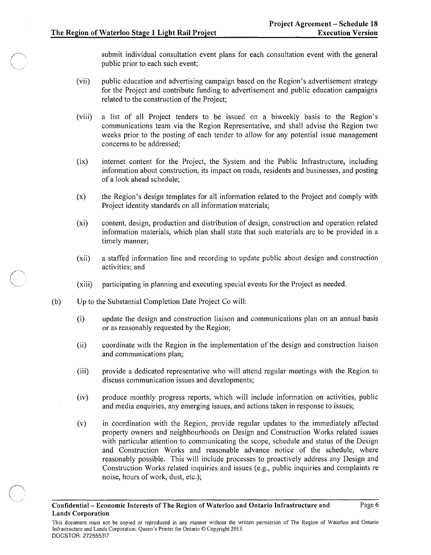submit individual consultation event plans for each consultation event with the general public prior to each such event;

- (vii) public education and advertising campaign based on the Region's advertisement strategy for the Project and contribute funding to advertisement and public education campaigns related to the construction of the Project;
- (viii) a list of all Project tenders to be issued on a biweekly basis to the Region's communications team via the Region Representative, and shall advise the Region two weeks prior to the posting of each tender to allow for any potential issue management concerns to be addressed;
- $(ix)$ internet content for the Project, the System and the Public Infrastructure, including information about construction, its impact on roads, residents and businesses, and posting of a look ahead schedule;
- (x) the Region's design templates for all information related to the Project and comply with Project identity standards on all information materials;
- (xi) content, design, production and distribution of design, construction and operation related information materials, which plan shall state that such materials are to be provided in a timely manner;
- (xii) a staffed information line and recording to update public about design and construction activities; and
- (xiii) participating in planning and executing special events for the Project as needed.
- (b) Up to the Substantial Completion Date Project Co will:
	- (i) update the design and construction liaison and communications plan on an annual basis or as reasonably requested by the Region;
	- (ii) coordinate with the Region in the implementation of the design and construction liaison and communications plan;
	- (iii) provide a dedicated representative who will attend regular meetings with the Region to discuss communication issues and developments;
	- (iv) produce monthly progress reports, which will include information on activities, public and media enquiries, any emerging issues, and actions taken in response to issues;
	- (v) in coordination with the Region, provide regular updates to the immediately affected property owners and neighbourhoods on Design and Construction Works related issues with particular attention to communicating the scope, schedule and status of the Design and Construction Works and reasonable advance notice of the schedule, where reasonably possible. This will include processes to proactively address any Design and Construction Works related inquiries and issues (e.g., public inquiries and complaints re noise, hours of work, dust, etc.);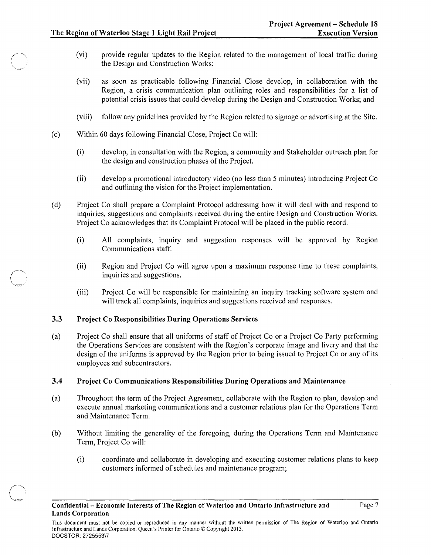- (vi) provide regular updates to the Region related to the management of local traffic during the Design and Construction Works;
- (vii) as soon as practicable following Financial Close develop, in collaboration with the Region, a crisis communication plan outlining roles and responsibilities for a list of potential crisis issues that could develop during the Design and Construction Works; and
- (viii) follow any guidelines provided by the Region related to signage or advertising at the Site.
- (c) Within 60 days following Financial Close, Project Co will:
	- (i) develop, in consultation with the Region, a community and Stakeholder outreach plan for the design and construction phases of the Project.
	- (ii) develop a promotional introductory video (no less than 5 minutes) introducing Project Co and outlining the vision for the Project implementation.
- (d) Project Co shall prepare a Complaint Protocol addressing how it will deal with and respond to inquiries, suggestions and complaints received during the entire Design and Construction Works. Project Co acknowledges that its Complaint Protocol will be placed in the public record.
	- (i) All complaints, inquiry and suggestion responses will be approved by Region Communications staff.
	- (ii) Region and Project Co will agree upon a maximum response time to these complaints, inquiries and suggestions.
	- (iii) Project Co will be responsible for maintaining an inquiry tracking software system and will track all complaints, inquiries and suggestions received and responses.

#### 3.3 Project Co Responsibilities During Operations Services

(a) Project Co shall ensure that all uniforms of staff of Project Co or a Project Co Party performing the Operations Services are consistent with the Region's corporate image and livery and that the design of the uniforms is approved by the Region prior to being issued to Project Co or any of its employees and subcontractors.

#### 3.4 Project Co Communications Responsibilities During Operations and Maintenance

- (a) Throughout the term of the Project Agreement, collaborate with the Region to plan, develop and execute annual marketing communications and a customer relations plan for the Operations Term and Maintenance Term.
- (b) Without limiting the generality of the foregoing, during the Operations Term and Maintenance Term, Project Co will:
	- (i) coordinate and collaborate in developing and executing customer relations plans to keep customers informed of schedules and maintenance program;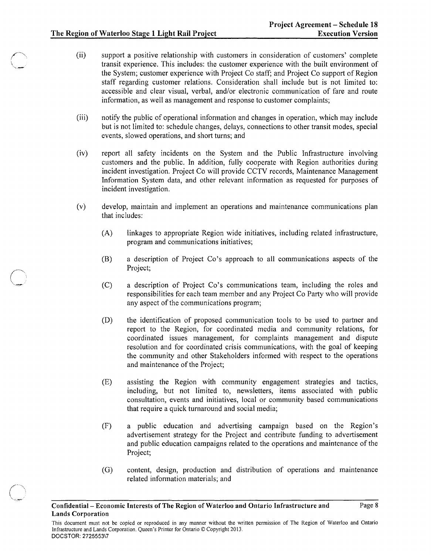- (ii) support a positive relationship with customers in consideration of customers' complete transit experience. This includes: the customer experience with the built environment of the System; customer experience with Project Co staff; and Project Co support of Region staff regarding customer relations. Consideration shall include but is not limited to: accessible and clear visual, verbal, and/or electronic communication of fare and route information, as well as management and response to customer complaints;
- (iii) notify the public of operational information and changes in operation, which may include but is not limited to: schedule changes, delays, connections to other transit modes, special events, slowed operations, and short turns; and
- (iv) report all safety incidents on the System and the Public Infrastructure involving customers and the public. In addition, fully cooperate with Region authorities during incident investigation. Project Co will provide CCTV records, Maintenance Management Information System data, and other relevant information as requested for purposes of incident investigation.
- (v) develop, maintain and implement an operations and maintenance communications plan that includes:
	- (A) linkages to appropriate Region wide initiatives, including related infrastructure, program and communications initiatives;
	- (B) a description of Project Co's approach to all communications aspects of the Project;
	- (C) a description of Project Co's communications team, including the roles and responsibilities for each team member and any Project Co Party who will provide any aspect of the communications program;
	- (D) the identification of proposed communication tools to be used to partner and report to the Region, for coordinated media and community relations, for coordinated issues management, for complaints management and dispute resolution and for coordinated crisis communications, with the goal of keeping the community and other Stakeholders informed with respect to the operations and maintenance of the Project;
	- (E) assisting the Region with community engagement strategies and tactics, including, but not limited to, newsletters, items associated with public consultation, events and initiatives, local or community based communications that require a quick turnaround and social media;
	- (F) a public education and advertising campaign based on the Region's advertisement strategy for the Project and contribute funding to advertisement and public education campaigns related to the operations and maintenance of the Project;
	- (G) content, design, production and distribution of operations and maintenance related information materials; and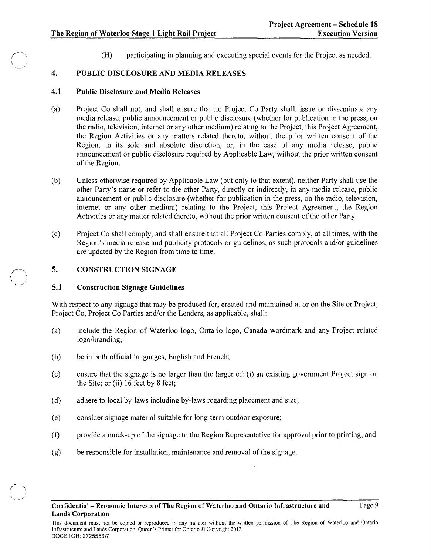(H) participating in planning and executing special events for the Project as needed.

## 4. PUBLIC DISCLOSURE AND MEDIA RELEASES

#### 4.1 Public Disclosure and Media Releases

- (a) Project Co shall not, and shall ensure that no Project Co Party shall, issue or disseminate any media release, public announcement or public disclosure (whether for publication in the press, on the radio, television, internet or any other medium) relating to the Project, this Project Agreement, the Region Activities or any matters related thereto, without the prior written consent of the Region, in its sole and absolute discretion, or, in the case of any media release, public announcement or public disclosure required by Applicable Law, without the prior written consent of the Region.
- (b) Unless otherwise required by Applicable Law (but only to that extent), neither Party shall use the other Party's name or refer to the other Party, directly or indirectly, in any media release, public announcement or public disclosure (whether for publication in the press, on the radio, television, internet or any other medium) relating to the Project, this Project Agreement, the Region Activities or any matter related thereto, without the prior written consent of the other Party.
- (c) Project Co shall comply, and shall ensure that all Project Co Parties comply, at all times, with the Region's media release and pUblicity protocols or guidelines, as such protocols and/or guidelines are updated by the Region from time to time.

#### 5. CONSTRUCTION SIGNAGE

#### 5.1 Construction Signage Guidelines

With respect to any signage that may be produced for, erected and maintained at or on the Site or Project, Project Co, Project Co Parties and/or the Lenders, as applicable, shall:

- (a) include the Region of Waterloo logo, Ontario logo, Canada wordmark and any Project related logo/branding;
- (b) be in both official languages, English and French;
- (c) ensure that the signage is no larger than the larger of: (i) an existing government Project sign on the Site; or (ii) 16 feet by 8 feet;
- (d) adhere to local by-laws including by-laws regarding placement and size;
- (e) consider signage material suitable for long-term outdoor exposure;
- (f) provide a mock-up of the signage to the Region Representative for approval prior to printing; and
- (g) be responsible for installation, maintenance and removal of the signage.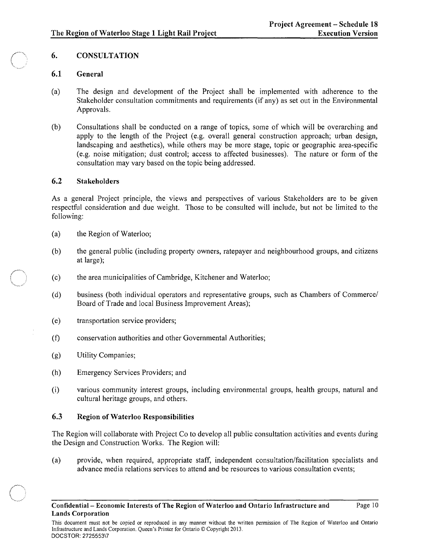Page 10

# 6. CONSULTATION

## 6.1 General

- (a) The design and development of the Project shall be implemented with adherence to the Stakeholder consultation commitments and requirements (if any) as set out in the Environmental Approvals.
- (b) Consultations shall be conducted on a range of topics, some of which will be overarching and apply to the length of the Project (e.g. overall general construction approach; urban design, landscaping and aesthetics), while others may be more stage, topic or geographic area-specific (e.g. noise mitigation; dust control; access to affected businesses). The nature or form of the consultation may vary based on the topic being addressed.

#### 6.2 Stakeholders

As a general Project principle, the views and perspectives of various Stakeholders are to be given respectful consideration and due weight. Those to be consulted will include, but not be limited to the following:

- (a) the Region of Waterloo;
- (b) the general public (including property owners, ratepayer and neighbourhood groups, and citizens at large);
- (c) the area municipalities of Cambridge, Kitchener and Waterloo;
- (d) business (both individual operators and representative groups, such as Chambers of Commerce/ Board of Trade and local Business Improvement Areas);
- (e) transportation service providers;
- (f) conservation authorities and other Governmental Authorities;
- (g) Utility Companies;
- (h) Emergency Services Providers; and
- (i) various community interest groups, including environmental groups, health groups, natural and cultural heritage groups, and others.

#### 6.3 Region of Waterloo Responsibilities

The Region will collaborate with Project Co to develop all public consultation activities and events during the Design and Construction Works. The Region will:

(a) provide, when required, appropriate staff, independent consultation/facilitation specialists and advance media relations services to attend and be resources to various consultation events;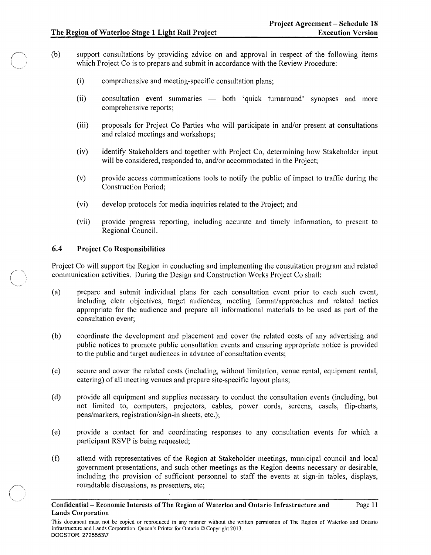- (b) support consultations by providing advice on and approval in respect of the following items which Project Co is to prepare and submit in accordance with the Review Procedure:
	- (i) comprehensive and meeting-specific consultation plans;
	- (ii) consultation event summaries both 'quick turnaround' synopses and more comprehensive reports;
	- (iii) proposals for Project Co Parties who will participate in and/or present at consultations and related meetings and workshops;
	- (iv) identify Stakeholders and together with Project Co, determining how Stakeholder input will be considered, responded to, and/or accommodated in the Project;
	- (v) provide access communications tools to notify the public of impact to traffic during the Construction Period;
	- (vi) develop protocols for media inquiries related to the Project; and
	- (vii) provide progress reporting, including accurate and timely information, to present to Regional Council.

## 6.4 Project Co Responsibilities

Project Co will support the Region in conducting and implementing the consultation program and related communication activities. During the Design and Construction Works Project Co shall:

- (a) prepare and submit individual plans for each consultation event prior to each such event, including clear objectives, target audiences, meeting format/approaches and related tactics appropriate for the audience and prepare all informational materials to be used as part of the consultation event;
- (b) coordinate the development and placement and cover the related costs of any advertising and public notices to promote public consultation events and ensuring appropriate notice is provided to the public and target audiences in advance of consultation events;
- (c) secure and cover the related costs (including, without limitation, venue rental, equipment rental, catering) of all meeting venues and prepare site-specific layout plans;
- (d) provide all equipment and supplies necessary to conduct the consultation events (including, but not limited to, computers, projectors, cables, power cords, screens, easels, flip-charts, pens/markers, registration/sign-in sheets, etc.);
- (e) provide a contact for and coordinating responses to any consultation events for which a participant RSVP is being requested;
- (f) attend with representatives of the Region at Stakeholder meetings, municipal council and local government presentations, and such other meetings as the Region deems necessary or desirable, including the provision of sufficient personnel to staff the events at sign-in tables, displays, roundtable discussions, as presenters, etc;

Confidential- Economic Interests of The Region of Waterloo and Ontario Infrastructure and Lands Corporation